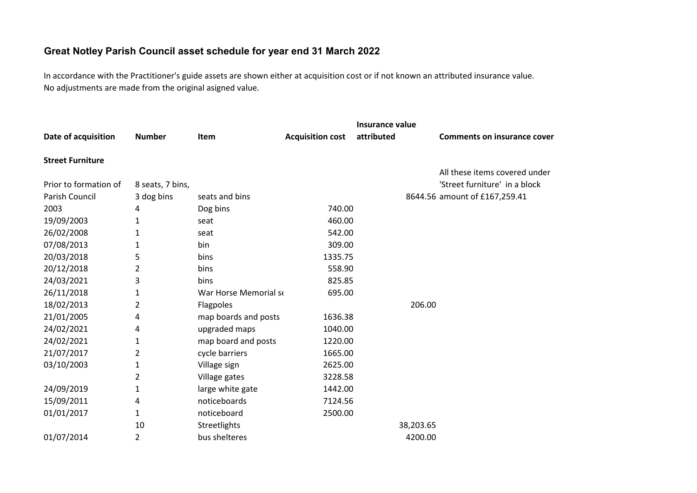## **Great Notley Parish Council asset schedule for year end 31 March 2022**

In accordance with the Practitioner's guide assets are shown either at acquisition cost or if not known an attributed insurance value. No adjustments are made from the original asigned value.

|                         |                  |                       |                         | Insurance value |                                    |
|-------------------------|------------------|-----------------------|-------------------------|-----------------|------------------------------------|
| Date of acquisition     | <b>Number</b>    | Item                  | <b>Acquisition cost</b> | attributed      | <b>Comments on insurance cover</b> |
| <b>Street Furniture</b> |                  |                       |                         |                 |                                    |
|                         |                  |                       |                         |                 | All these items covered under      |
| Prior to formation of   | 8 seats, 7 bins, |                       |                         |                 | 'Street furniture' in a block      |
| Parish Council          | 3 dog bins       | seats and bins        |                         |                 | 8644.56 amount of £167,259.41      |
| 2003                    | 4                | Dog bins              | 740.00                  |                 |                                    |
| 19/09/2003              | 1                | seat                  | 460.00                  |                 |                                    |
| 26/02/2008              | 1                | seat                  | 542.00                  |                 |                                    |
| 07/08/2013              | 1                | bin                   | 309.00                  |                 |                                    |
| 20/03/2018              | 5                | bins                  | 1335.75                 |                 |                                    |
| 20/12/2018              | $\overline{2}$   | bins                  | 558.90                  |                 |                                    |
| 24/03/2021              | 3                | bins                  | 825.85                  |                 |                                    |
| 26/11/2018              | $\mathbf{1}$     | War Horse Memorial se | 695.00                  |                 |                                    |
| 18/02/2013              | 2                | Flagpoles             |                         | 206.00          |                                    |
| 21/01/2005              | 4                | map boards and posts  | 1636.38                 |                 |                                    |
| 24/02/2021              | 4                | upgraded maps         | 1040.00                 |                 |                                    |
| 24/02/2021              | 1                | map board and posts   | 1220.00                 |                 |                                    |
| 21/07/2017              | $\overline{2}$   | cycle barriers        | 1665.00                 |                 |                                    |
| 03/10/2003              | $\mathbf{1}$     | Village sign          | 2625.00                 |                 |                                    |
|                         | $\overline{2}$   | Village gates         | 3228.58                 |                 |                                    |
| 24/09/2019              | 1                | large white gate      | 1442.00                 |                 |                                    |
| 15/09/2011              | 4                | noticeboards          | 7124.56                 |                 |                                    |
| 01/01/2017              | $\mathbf{1}$     | noticeboard           | 2500.00                 |                 |                                    |
|                         | 10               | Streetlights          |                         | 38,203.65       |                                    |
| 01/07/2014              | $\overline{2}$   | bus shelteres         |                         | 4200.00         |                                    |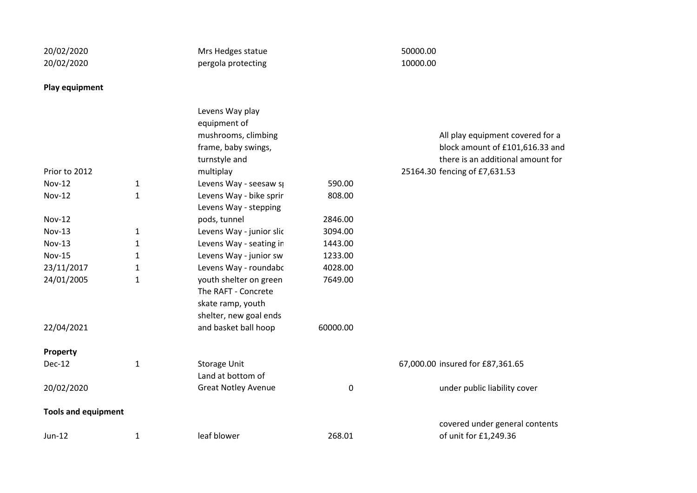| 20/02/2020                 |              | Mrs Hedges statue          |          | 50000.00 |                                   |
|----------------------------|--------------|----------------------------|----------|----------|-----------------------------------|
| 20/02/2020                 |              | pergola protecting         |          | 10000.00 |                                   |
| Play equipment             |              |                            |          |          |                                   |
|                            |              | Levens Way play            |          |          |                                   |
|                            |              | equipment of               |          |          |                                   |
|                            |              | mushrooms, climbing        |          |          | All play equipment covered for a  |
|                            |              | frame, baby swings,        |          |          | block amount of £101,616.33 and   |
|                            |              | turnstyle and              |          |          | there is an additional amount for |
| Prior to 2012              |              | multiplay                  |          |          | 25164.30 fencing of £7,631.53     |
| <b>Nov-12</b>              | $\mathbf{1}$ | Levens Way - seesaw sp     | 590.00   |          |                                   |
| <b>Nov-12</b>              | $\mathbf{1}$ | Levens Way - bike sprir    | 808.00   |          |                                   |
|                            |              | Levens Way - stepping      |          |          |                                   |
| <b>Nov-12</b>              |              | pods, tunnel               | 2846.00  |          |                                   |
| <b>Nov-13</b>              | 1            | Levens Way - junior slic   | 3094.00  |          |                                   |
| <b>Nov-13</b>              | $\mathbf{1}$ | Levens Way - seating in    | 1443.00  |          |                                   |
| <b>Nov-15</b>              | $\mathbf{1}$ | Levens Way - junior sw     | 1233.00  |          |                                   |
| 23/11/2017                 | $\mathbf{1}$ | Levens Way - roundabc      | 4028.00  |          |                                   |
| 24/01/2005                 | $\mathbf{1}$ | youth shelter on green     | 7649.00  |          |                                   |
|                            |              | The RAFT - Concrete        |          |          |                                   |
|                            |              | skate ramp, youth          |          |          |                                   |
|                            |              | shelter, new goal ends     |          |          |                                   |
| 22/04/2021                 |              | and basket ball hoop       | 60000.00 |          |                                   |
| Property                   |              |                            |          |          |                                   |
| Dec-12                     | $\mathbf{1}$ | <b>Storage Unit</b>        |          |          | 67,000.00 insured for £87,361.65  |
|                            |              | Land at bottom of          |          |          |                                   |
| 20/02/2020                 |              | <b>Great Notley Avenue</b> | 0        |          | under public liability cover      |
| <b>Tools and equipment</b> |              |                            |          |          |                                   |
|                            |              |                            |          |          | covered under general contents    |
| Jun-12                     | $\mathbf{1}$ | leaf blower                | 268.01   |          | of unit for £1,249.36             |